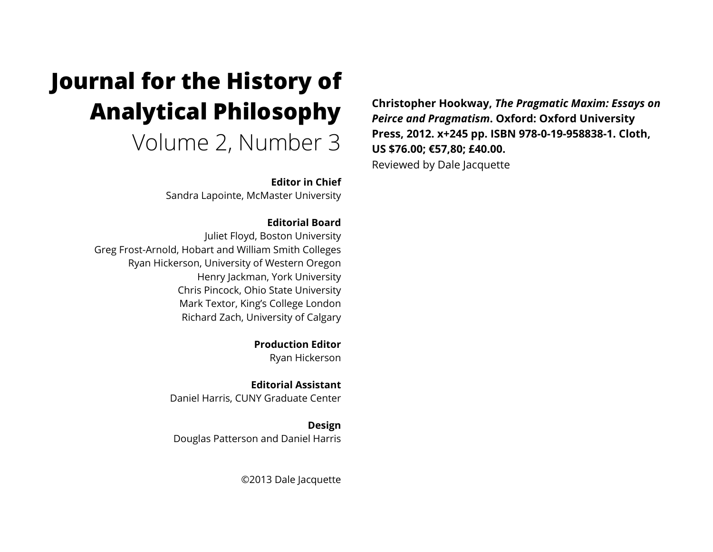## **Journal for the History of Analytical Philosophy**  Volume 2, Number 3

**Editor in Chief**

Sandra Lapointe, McMaster University

## **Editorial Board**

Juliet Floyd, Boston University Greg Frost-Arnold, Hobart and William Smith Colleges Ryan Hickerson, University of Western Oregon Henry Jackman, York University Chris Pincock, Ohio State University Mark Textor, King's College London Richard Zach, University of Calgary

> **Production Editor** Ryan Hickerson

**Editorial Assistant** Daniel Harris, CUNY Graduate Center

**Design** Douglas Patterson and Daniel Harris

©2013 Dale Jacquette

**Christopher Hookway,** *The Pragmatic Maxim: Essays on Peirce and Pragmatism***. Oxford: Oxford University Press, 2012. x+245 pp. ISBN 978-0-19-958838-1. Cloth, US \$76.00; €57,80; £40.00.** Reviewed by Dale Jacquette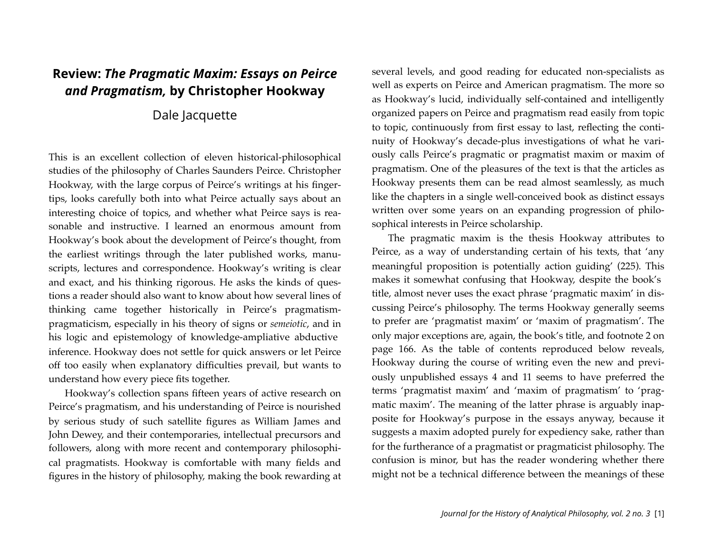## **Review:** *The Pragmatic Maxim: Essays on Peirce and Pragmatism,* **by Christopher Hookway**

## Dale Jacquette

This is an excellent collection of eleven historical-philosophical studies of the philosophy of Charles Saunders Peirce. Christopher Hookway, with the large corpus of Peirce's writings at his fingertips, looks carefully both into what Peirce actually says about an interesting choice of topics, and whether what Peirce says is reasonable and instructive. I learned an enormous amount from Hookway's book about the development of Peirce's thought, from the earliest writings through the later published works, manuscripts, lectures and correspondence. Hookway's writing is clear and exact, and his thinking rigorous. He asks the kinds of questions a reader should also want to know about how several lines of thinking came together historically in Peirce's pragmatismpragmaticism, especially in his theory of signs or *semeiotic*, and in his logic and epistemology of knowledge-ampliative abductive inference. Hookway does not settle for quick answers or let Peirce off too easily when explanatory difficulties prevail, but wants to understand how every piece fits together.

Hookway's collection spans fifteen years of active research on Peirce's pragmatism, and his understanding of Peirce is nourished by serious study of such satellite figures as William James and John Dewey, and their contemporaries, intellectual precursors and followers, along with more recent and contemporary philosophical pragmatists. Hookway is comfortable with many fields and figures in the history of philosophy, making the book rewarding at several levels, and good reading for educated non-specialists as well as experts on Peirce and American pragmatism. The more so as Hookway's lucid, individually self-contained and intelligently organized papers on Peirce and pragmatism read easily from topic to topic, continuously from first essay to last, reflecting the continuity of Hookway's decade-plus investigations of what he variously calls Peirce's pragmatic or pragmatist maxim or maxim of pragmatism. One of the pleasures of the text is that the articles as Hookway presents them can be read almost seamlessly, as much like the chapters in a single well-conceived book as distinct essays written over some years on an expanding progression of philosophical interests in Peirce scholarship.

The pragmatic maxim is the thesis Hookway attributes to Peirce, as a way of understanding certain of his texts, that 'any meaningful proposition is potentially action guiding' (225). This makes it somewhat confusing that Hookway, despite the book's title, almost never uses the exact phrase 'pragmatic maxim' in discussing Peirce's philosophy. The terms Hookway generally seems to prefer are 'pragmatist maxim' or 'maxim of pragmatism'. The only major exceptions are, again, the book's title, and footnote 2 on page 166. As the table of contents reproduced below reveals, Hookway during the course of writing even the new and previously unpublished essays 4 and 11 seems to have preferred the terms 'pragmatist maxim' and 'maxim of pragmatism' to 'pragmatic maxim'. The meaning of the latter phrase is arguably inapposite for Hookway's purpose in the essays anyway, because it suggests a maxim adopted purely for expediency sake, rather than for the furtherance of a pragmatist or pragmaticist philosophy. The confusion is minor, but has the reader wondering whether there might not be a technical difference between the meanings of these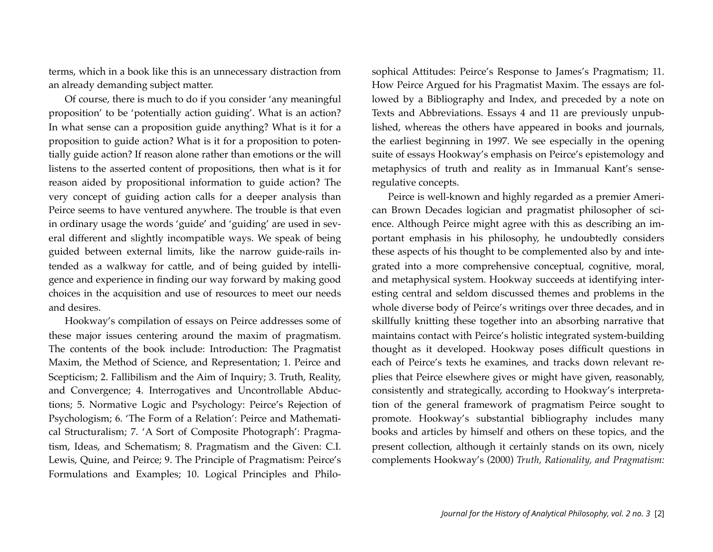terms, which in a book like this is an unnecessary distraction from an already demanding subject matter.

Of course, there is much to do if you consider 'any meaningful proposition' to be 'potentially action guiding'. What is an action? In what sense can a proposition guide anything? What is it for a proposition to guide action? What is it for a proposition to potentially guide action? If reason alone rather than emotions or the will listens to the asserted content of propositions, then what is it for reason aided by propositional information to guide action? The very concept of guiding action calls for a deeper analysis than Peirce seems to have ventured anywhere. The trouble is that even in ordinary usage the words 'guide' and 'guiding' are used in several different and slightly incompatible ways. We speak of being guided between external limits, like the narrow guide-rails intended as a walkway for cattle, and of being guided by intelligence and experience in finding our way forward by making good choices in the acquisition and use of resources to meet our needs and desires.

Hookway's compilation of essays on Peirce addresses some of these major issues centering around the maxim of pragmatism. The contents of the book include: Introduction: The Pragmatist Maxim, the Method of Science, and Representation; 1. Peirce and Scepticism; 2. Fallibilism and the Aim of Inquiry; 3. Truth, Reality, and Convergence; 4. Interrogatives and Uncontrollable Abductions; 5. Normative Logic and Psychology: Peirce's Rejection of Psychologism; 6. 'The Form of a Relation': Peirce and Mathematical Structuralism; 7. 'A Sort of Composite Photograph': Pragmatism, Ideas, and Schematism; 8. Pragmatism and the Given: C.I. Lewis, Quine, and Peirce; 9. The Principle of Pragmatism: Peirce's Formulations and Examples; 10. Logical Principles and Philosophical Attitudes: Peirce's Response to James's Pragmatism; 11. How Peirce Argued for his Pragmatist Maxim. The essays are followed by a Bibliography and Index, and preceded by a note on Texts and Abbreviations. Essays 4 and 11 are previously unpublished, whereas the others have appeared in books and journals, the earliest beginning in 1997. We see especially in the opening suite of essays Hookway's emphasis on Peirce's epistemology and metaphysics of truth and reality as in Immanual Kant's senseregulative concepts.

Peirce is well-known and highly regarded as a premier American Brown Decades logician and pragmatist philosopher of science. Although Peirce might agree with this as describing an important emphasis in his philosophy, he undoubtedly considers these aspects of his thought to be complemented also by and integrated into a more comprehensive conceptual, cognitive, moral, and metaphysical system. Hookway succeeds at identifying interesting central and seldom discussed themes and problems in the whole diverse body of Peirce's writings over three decades, and in skillfully knitting these together into an absorbing narrative that maintains contact with Peirce's holistic integrated system-building thought as it developed. Hookway poses difficult questions in each of Peirce's texts he examines, and tracks down relevant replies that Peirce elsewhere gives or might have given, reasonably, consistently and strategically, according to Hookway's interpretation of the general framework of pragmatism Peirce sought to promote. Hookway's substantial bibliography includes many books and articles by himself and others on these topics, and the present collection, although it certainly stands on its own, nicely complements Hookway's (2000) *Truth, Rationality, and Pragmatism:*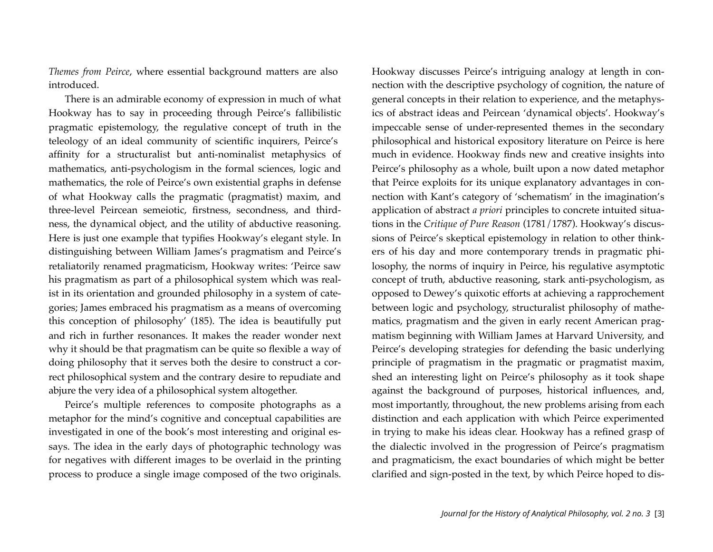*Themes from Peirce*, where essential background matters are also introduced.

There is an admirable economy of expression in much of what Hookway has to say in proceeding through Peirce's fallibilistic pragmatic epistemology, the regulative concept of truth in the teleology of an ideal community of scientific inquirers, Peirce's affinity for a structuralist but anti-nominalist metaphysics of mathematics, anti-psychologism in the formal sciences, logic and mathematics, the role of Peirce's own existential graphs in defense of what Hookway calls the pragmatic (pragmatist) maxim, and three-level Peircean semeiotic, firstness, secondness, and thirdness, the dynamical object, and the utility of abductive reasoning. Here is just one example that typifies Hookway's elegant style. In distinguishing between William James's pragmatism and Peirce's retaliatorily renamed pragmaticism, Hookway writes: 'Peirce saw his pragmatism as part of a philosophical system which was realist in its orientation and grounded philosophy in a system of categories; James embraced his pragmatism as a means of overcoming this conception of philosophy' (185). The idea is beautifully put and rich in further resonances. It makes the reader wonder next why it should be that pragmatism can be quite so flexible a way of doing philosophy that it serves both the desire to construct a correct philosophical system and the contrary desire to repudiate and abjure the very idea of a philosophical system altogether.

Peirce's multiple references to composite photographs as a metaphor for the mind's cognitive and conceptual capabilities are investigated in one of the book's most interesting and original essays. The idea in the early days of photographic technology was for negatives with different images to be overlaid in the printing process to produce a single image composed of the two originals.

Hookway discusses Peirce's intriguing analogy at length in connection with the descriptive psychology of cognition, the nature of general concepts in their relation to experience, and the metaphysics of abstract ideas and Peircean 'dynamical objects'. Hookway's impeccable sense of under-represented themes in the secondary philosophical and historical expository literature on Peirce is here much in evidence. Hookway finds new and creative insights into Peirce's philosophy as a whole, built upon a now dated metaphor that Peirce exploits for its unique explanatory advantages in connection with Kant's category of 'schematism' in the imagination's application of abstract *a priori* principles to concrete intuited situations in the *Critique of Pure Reason* (1781/1787). Hookway's discussions of Peirce's skeptical epistemology in relation to other thinkers of his day and more contemporary trends in pragmatic philosophy, the norms of inquiry in Peirce, his regulative asymptotic concept of truth, abductive reasoning, stark anti-psychologism, as opposed to Dewey's quixotic efforts at achieving a rapprochement between logic and psychology, structuralist philosophy of mathematics, pragmatism and the given in early recent American pragmatism beginning with William James at Harvard University, and Peirce's developing strategies for defending the basic underlying principle of pragmatism in the pragmatic or pragmatist maxim, shed an interesting light on Peirce's philosophy as it took shape against the background of purposes, historical influences, and, most importantly, throughout, the new problems arising from each distinction and each application with which Peirce experimented in trying to make his ideas clear. Hookway has a refined grasp of the dialectic involved in the progression of Peirce's pragmatism and pragmaticism, the exact boundaries of which might be better clarified and sign-posted in the text, by which Peirce hoped to dis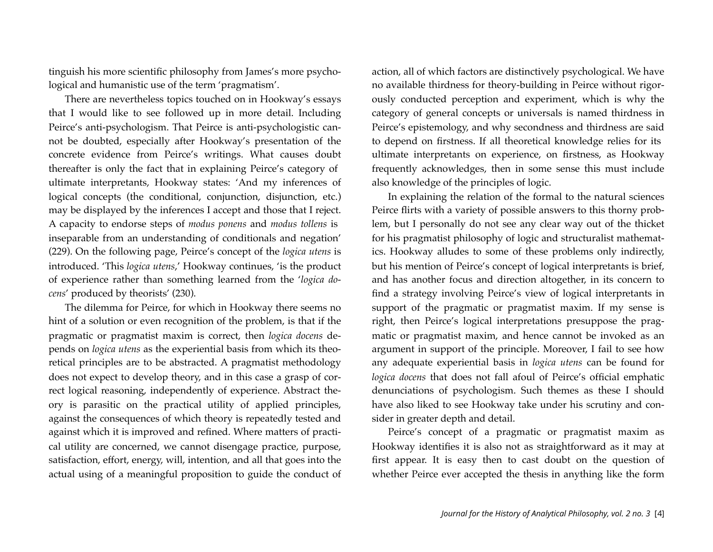tinguish his more scientific philosophy from James's more psychological and humanistic use of the term 'pragmatism'.

There are nevertheless topics touched on in Hookway's essays that I would like to see followed up in more detail. Including Peirce's anti-psychologism. That Peirce is anti-psychologistic cannot be doubted, especially after Hookway's presentation of the concrete evidence from Peirce's writings. What causes doubt thereafter is only the fact that in explaining Peirce's category of ultimate interpretants, Hookway states: 'And my inferences of logical concepts (the conditional, conjunction, disjunction, etc.) may be displayed by the inferences I accept and those that I reject. A capacity to endorse steps of *modus ponens* and *modus tollens* is inseparable from an understanding of conditionals and negation' (229). On the following page, Peirce's concept of the *logica utens* is introduced. 'This *logica utens*,' Hookway continues, 'is the product of experience rather than something learned from the '*logica docens*' produced by theorists' (230).

The dilemma for Peirce, for which in Hookway there seems no hint of a solution or even recognition of the problem, is that if the pragmatic or pragmatist maxim is correct, then *logica docens* depends on *logica utens* as the experiential basis from which its theoretical principles are to be abstracted. A pragmatist methodology does not expect to develop theory, and in this case a grasp of correct logical reasoning, independently of experience. Abstract theory is parasitic on the practical utility of applied principles, against the consequences of which theory is repeatedly tested and against which it is improved and refined. Where matters of practical utility are concerned, we cannot disengage practice, purpose, satisfaction, effort, energy, will, intention, and all that goes into the actual using of a meaningful proposition to guide the conduct of action, all of which factors are distinctively psychological. We have no available thirdness for theory-building in Peirce without rigorously conducted perception and experiment, which is why the category of general concepts or universals is named thirdness in Peirce's epistemology, and why secondness and thirdness are said to depend on firstness. If all theoretical knowledge relies for its ultimate interpretants on experience, on firstness, as Hookway frequently acknowledges, then in some sense this must include also knowledge of the principles of logic.

In explaining the relation of the formal to the natural sciences Peirce flirts with a variety of possible answers to this thorny problem, but I personally do not see any clear way out of the thicket for his pragmatist philosophy of logic and structuralist mathematics. Hookway alludes to some of these problems only indirectly, but his mention of Peirce's concept of logical interpretants is brief, and has another focus and direction altogether, in its concern to find a strategy involving Peirce's view of logical interpretants in support of the pragmatic or pragmatist maxim. If my sense is right, then Peirce's logical interpretations presuppose the pragmatic or pragmatist maxim, and hence cannot be invoked as an argument in support of the principle. Moreover, I fail to see how any adequate experiential basis in *logica utens* can be found for *logica docens* that does not fall afoul of Peirce's official emphatic denunciations of psychologism. Such themes as these I should have also liked to see Hookway take under his scrutiny and consider in greater depth and detail.

Peirce's concept of a pragmatic or pragmatist maxim as Hookway identifies it is also not as straightforward as it may at first appear. It is easy then to cast doubt on the question of whether Peirce ever accepted the thesis in anything like the form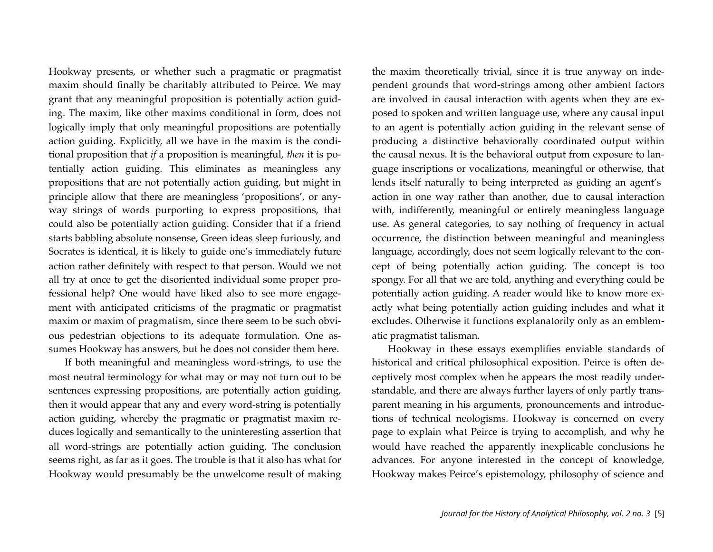Hookway presents, or whether such a pragmatic or pragmatist maxim should finally be charitably attributed to Peirce. We may grant that any meaningful proposition is potentially action guiding. The maxim, like other maxims conditional in form, does not logically imply that only meaningful propositions are potentially action guiding. Explicitly, all we have in the maxim is the conditional proposition that *if* a proposition is meaningful, *then* it is potentially action guiding. This eliminates as meaningless any propositions that are not potentially action guiding, but might in principle allow that there are meaningless 'propositions', or anyway strings of words purporting to express propositions, that could also be potentially action guiding. Consider that if a friend starts babbling absolute nonsense, Green ideas sleep furiously, and Socrates is identical, it is likely to guide one's immediately future action rather definitely with respect to that person. Would we not all try at once to get the disoriented individual some proper professional help? One would have liked also to see more engagement with anticipated criticisms of the pragmatic or pragmatist maxim or maxim of pragmatism, since there seem to be such obvious pedestrian objections to its adequate formulation. One assumes Hookway has answers, but he does not consider them here.

If both meaningful and meaningless word-strings, to use the most neutral terminology for what may or may not turn out to be sentences expressing propositions, are potentially action guiding, then it would appear that any and every word-string is potentially action guiding, whereby the pragmatic or pragmatist maxim reduces logically and semantically to the uninteresting assertion that all word-strings are potentially action guiding. The conclusion seems right, as far as it goes. The trouble is that it also has what for Hookway would presumably be the unwelcome result of making the maxim theoretically trivial, since it is true anyway on independent grounds that word-strings among other ambient factors are involved in causal interaction with agents when they are exposed to spoken and written language use, where any causal input to an agent is potentially action guiding in the relevant sense of producing a distinctive behaviorally coordinated output within the causal nexus. It is the behavioral output from exposure to language inscriptions or vocalizations, meaningful or otherwise, that lends itself naturally to being interpreted as guiding an agent's action in one way rather than another, due to causal interaction with, indifferently, meaningful or entirely meaningless language use. As general categories, to say nothing of frequency in actual occurrence, the distinction between meaningful and meaningless language, accordingly, does not seem logically relevant to the concept of being potentially action guiding. The concept is too spongy. For all that we are told, anything and everything could be potentially action guiding. A reader would like to know more exactly what being potentially action guiding includes and what it excludes. Otherwise it functions explanatorily only as an emblematic pragmatist talisman.

Hookway in these essays exemplifies enviable standards of historical and critical philosophical exposition. Peirce is often deceptively most complex when he appears the most readily understandable, and there are always further layers of only partly transparent meaning in his arguments, pronouncements and introductions of technical neologisms. Hookway is concerned on every page to explain what Peirce is trying to accomplish, and why he would have reached the apparently inexplicable conclusions he advances. For anyone interested in the concept of knowledge, Hookway makes Peirce's epistemology, philosophy of science and